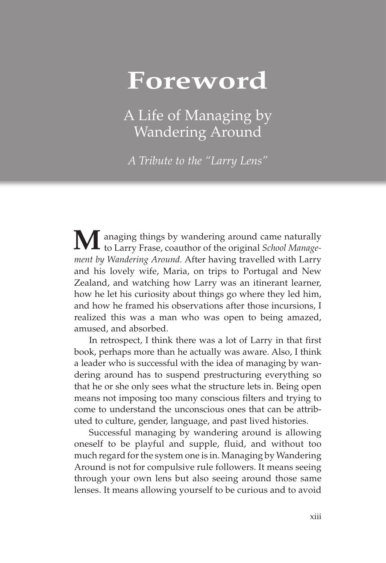## **Foreword**

A Life of Managing by Wandering Around

*A Tribute to the "Larry Lens"*

**M**anaging things by wandering around came naturally to Larry Frase, coauthor of the original *School Management by Wandering Around.* After having travelled with Larry and his lovely wife, Maria, on trips to Portugal and New Zealand, and watching how Larry was an itinerant learner, how he let his curiosity about things go where they led him, and how he framed his observations after those incursions, I realized this was a man who was open to being amazed, amused, and absorbed.

In retrospect, I think there was a lot of Larry in that first book, perhaps more than he actually was aware. Also, I think a leader who is successful with the idea of managing by wandering around has to suspend prestructuring everything so that he or she only sees what the structure lets in. Being open means not imposing too many conscious filters and trying to come to understand the unconscious ones that can be attributed to culture, gender, language, and past lived histories.

Successful managing by wandering around is allowing oneself to be playful and supple, fluid, and without too much regard for the system one is in. Managing by Wandering Around is not for compulsive rule followers. It means seeing through your own lens but also seeing around those same lenses. It means allowing yourself to be curious and to avoid